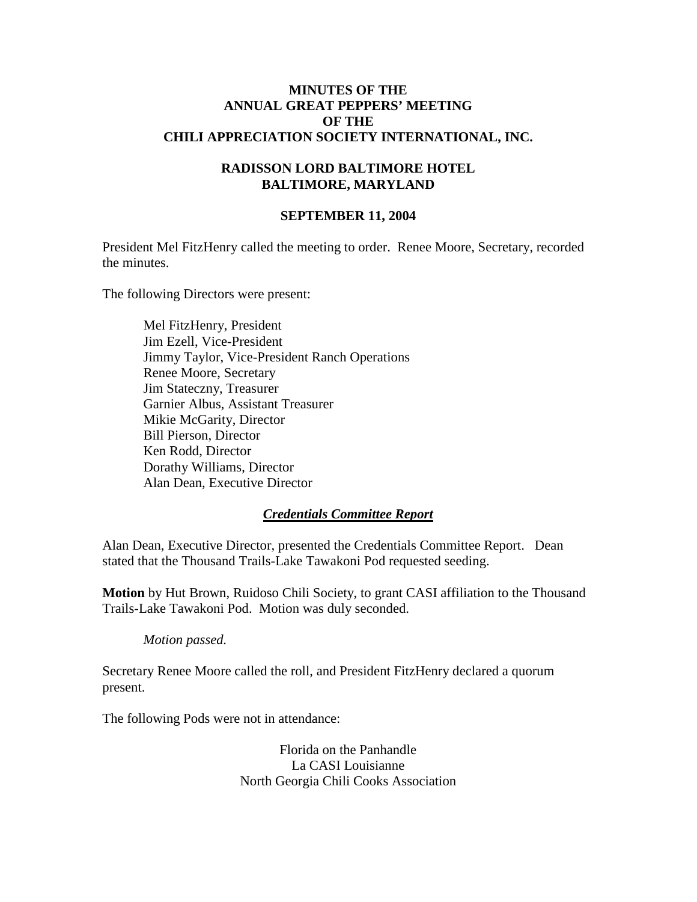#### **MINUTES OF THE ANNUAL GREAT PEPPERS' MEETING OF THE CHILI APPRECIATION SOCIETY INTERNATIONAL, INC.**

#### **RADISSON LORD BALTIMORE HOTEL BALTIMORE, MARYLAND**

#### **SEPTEMBER 11, 2004**

President Mel FitzHenry called the meeting to order. Renee Moore, Secretary, recorded the minutes.

The following Directors were present:

Mel FitzHenry, President Jim Ezell, Vice-President Jimmy Taylor, Vice-President Ranch Operations Renee Moore, Secretary Jim Stateczny, Treasurer Garnier Albus, Assistant Treasurer Mikie McGarity, Director Bill Pierson, Director Ken Rodd, Director Dorathy Williams, Director Alan Dean, Executive Director

#### *Credentials Committee Report*

Alan Dean, Executive Director, presented the Credentials Committee Report. Dean stated that the Thousand Trails-Lake Tawakoni Pod requested seeding.

**Motion** by Hut Brown, Ruidoso Chili Society, to grant CASI affiliation to the Thousand Trails-Lake Tawakoni Pod. Motion was duly seconded.

*Motion passed.*

Secretary Renee Moore called the roll, and President FitzHenry declared a quorum present.

The following Pods were not in attendance:

Florida on the Panhandle La CASI Louisianne North Georgia Chili Cooks Association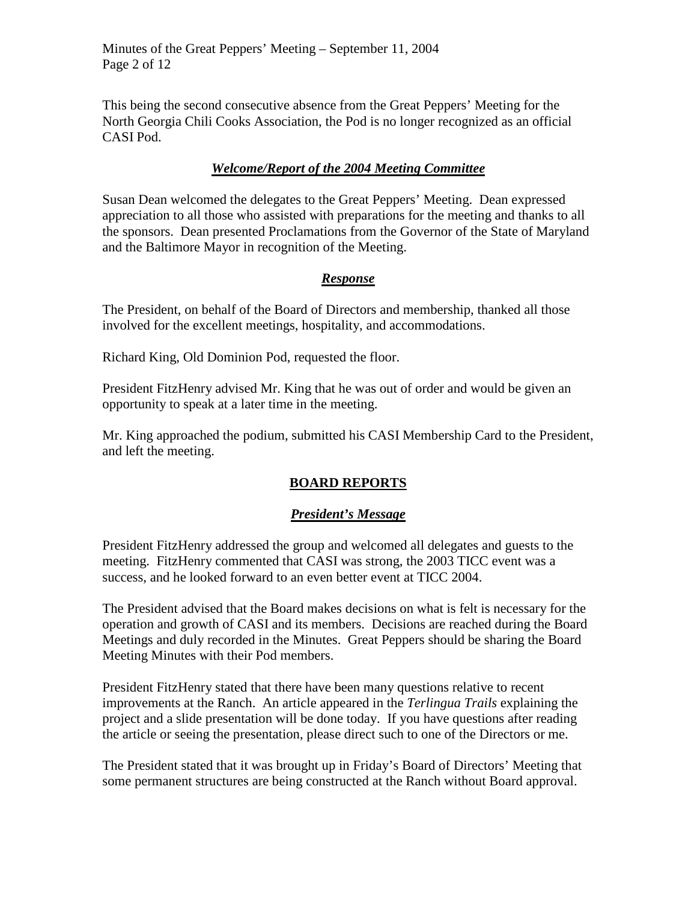This being the second consecutive absence from the Great Peppers' Meeting for the North Georgia Chili Cooks Association, the Pod is no longer recognized as an official CASI Pod.

### *Welcome/Report of the 2004 Meeting Committee*

Susan Dean welcomed the delegates to the Great Peppers' Meeting. Dean expressed appreciation to all those who assisted with preparations for the meeting and thanks to all the sponsors. Dean presented Proclamations from the Governor of the State of Maryland and the Baltimore Mayor in recognition of the Meeting.

### *Response*

The President, on behalf of the Board of Directors and membership, thanked all those involved for the excellent meetings, hospitality, and accommodations.

Richard King, Old Dominion Pod, requested the floor.

President FitzHenry advised Mr. King that he was out of order and would be given an opportunity to speak at a later time in the meeting.

Mr. King approached the podium, submitted his CASI Membership Card to the President, and left the meeting.

# **BOARD REPORTS**

### *President's Message*

President FitzHenry addressed the group and welcomed all delegates and guests to the meeting. FitzHenry commented that CASI was strong, the 2003 TICC event was a success, and he looked forward to an even better event at TICC 2004.

The President advised that the Board makes decisions on what is felt is necessary for the operation and growth of CASI and its members. Decisions are reached during the Board Meetings and duly recorded in the Minutes. Great Peppers should be sharing the Board Meeting Minutes with their Pod members.

President FitzHenry stated that there have been many questions relative to recent improvements at the Ranch. An article appeared in the *Terlingua Trails* explaining the project and a slide presentation will be done today. If you have questions after reading the article or seeing the presentation, please direct such to one of the Directors or me.

The President stated that it was brought up in Friday's Board of Directors' Meeting that some permanent structures are being constructed at the Ranch without Board approval.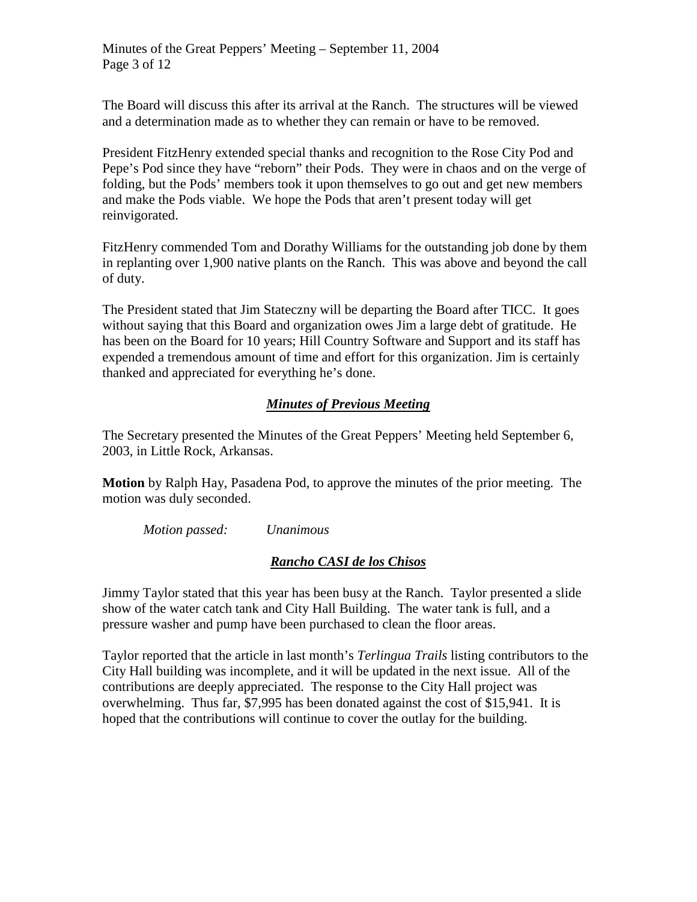The Board will discuss this after its arrival at the Ranch. The structures will be viewed and a determination made as to whether they can remain or have to be removed.

President FitzHenry extended special thanks and recognition to the Rose City Pod and Pepe's Pod since they have "reborn" their Pods. They were in chaos and on the verge of folding, but the Pods' members took it upon themselves to go out and get new members and make the Pods viable. We hope the Pods that aren't present today will get reinvigorated.

FitzHenry commended Tom and Dorathy Williams for the outstanding job done by them in replanting over 1,900 native plants on the Ranch. This was above and beyond the call of duty.

The President stated that Jim Stateczny will be departing the Board after TICC. It goes without saying that this Board and organization owes Jim a large debt of gratitude. He has been on the Board for 10 years; Hill Country Software and Support and its staff has expended a tremendous amount of time and effort for this organization. Jim is certainly thanked and appreciated for everything he's done.

### *Minutes of Previous Meeting*

The Secretary presented the Minutes of the Great Peppers' Meeting held September 6, 2003, in Little Rock, Arkansas.

**Motion** by Ralph Hay, Pasadena Pod, to approve the minutes of the prior meeting. The motion was duly seconded.

*Motion passed: Unanimous*

# *Rancho CASI de los Chisos*

Jimmy Taylor stated that this year has been busy at the Ranch. Taylor presented a slide show of the water catch tank and City Hall Building. The water tank is full, and a pressure washer and pump have been purchased to clean the floor areas.

Taylor reported that the article in last month's *Terlingua Trails* listing contributors to the City Hall building was incomplete, and it will be updated in the next issue. All of the contributions are deeply appreciated. The response to the City Hall project was overwhelming. Thus far, \$7,995 has been donated against the cost of \$15,941. It is hoped that the contributions will continue to cover the outlay for the building.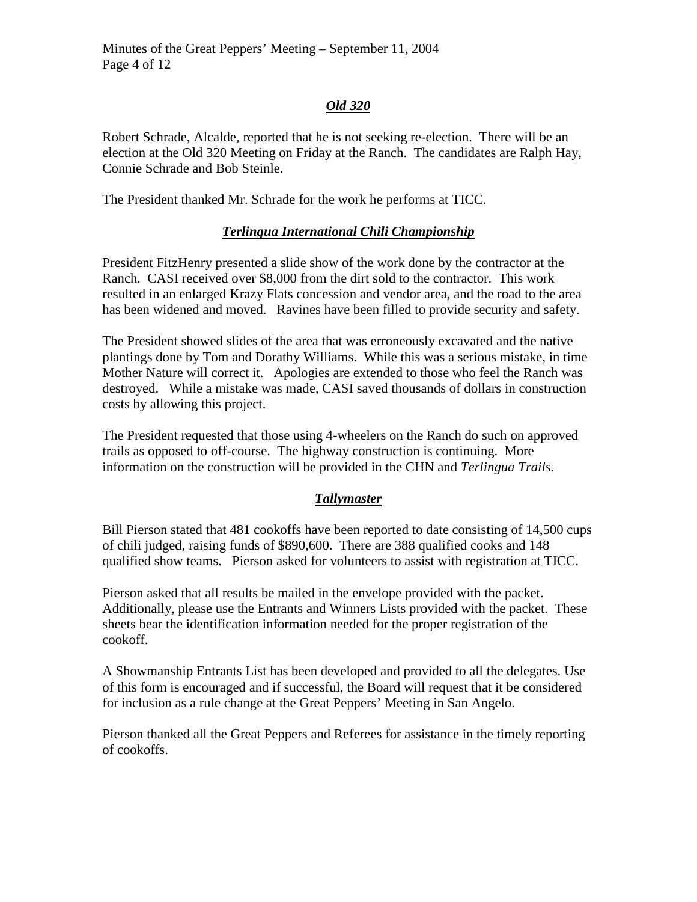# *Old 320*

Robert Schrade, Alcalde, reported that he is not seeking re-election. There will be an election at the Old 320 Meeting on Friday at the Ranch. The candidates are Ralph Hay, Connie Schrade and Bob Steinle.

The President thanked Mr. Schrade for the work he performs at TICC.

### *Terlingua International Chili Championship*

President FitzHenry presented a slide show of the work done by the contractor at the Ranch. CASI received over \$8,000 from the dirt sold to the contractor. This work resulted in an enlarged Krazy Flats concession and vendor area, and the road to the area has been widened and moved. Ravines have been filled to provide security and safety.

The President showed slides of the area that was erroneously excavated and the native plantings done by Tom and Dorathy Williams. While this was a serious mistake, in time Mother Nature will correct it. Apologies are extended to those who feel the Ranch was destroyed. While a mistake was made, CASI saved thousands of dollars in construction costs by allowing this project.

The President requested that those using 4-wheelers on the Ranch do such on approved trails as opposed to off-course. The highway construction is continuing. More information on the construction will be provided in the CHN and *Terlingua Trails*.

# *Tallymaster*

Bill Pierson stated that 481 cookoffs have been reported to date consisting of 14,500 cups of chili judged, raising funds of \$890,600. There are 388 qualified cooks and 148 qualified show teams. Pierson asked for volunteers to assist with registration at TICC.

Pierson asked that all results be mailed in the envelope provided with the packet. Additionally, please use the Entrants and Winners Lists provided with the packet. These sheets bear the identification information needed for the proper registration of the cookoff.

A Showmanship Entrants List has been developed and provided to all the delegates. Use of this form is encouraged and if successful, the Board will request that it be considered for inclusion as a rule change at the Great Peppers' Meeting in San Angelo.

Pierson thanked all the Great Peppers and Referees for assistance in the timely reporting of cookoffs.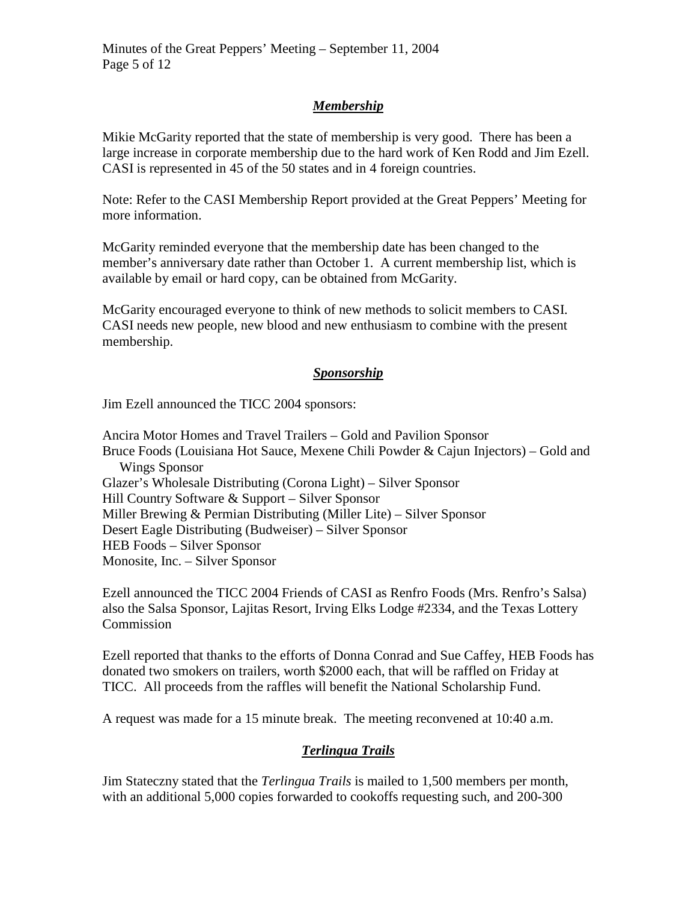# *Membership*

Mikie McGarity reported that the state of membership is very good. There has been a large increase in corporate membership due to the hard work of Ken Rodd and Jim Ezell. CASI is represented in 45 of the 50 states and in 4 foreign countries.

Note: Refer to the CASI Membership Report provided at the Great Peppers' Meeting for more information.

McGarity reminded everyone that the membership date has been changed to the member's anniversary date rather than October 1. A current membership list, which is available by email or hard copy, can be obtained from McGarity.

McGarity encouraged everyone to think of new methods to solicit members to CASI. CASI needs new people, new blood and new enthusiasm to combine with the present membership.

### *Sponsorship*

Jim Ezell announced the TICC 2004 sponsors:

Ancira Motor Homes and Travel Trailers – Gold and Pavilion Sponsor Bruce Foods (Louisiana Hot Sauce, Mexene Chili Powder & Cajun Injectors) – Gold and Wings Sponsor Glazer's Wholesale Distributing (Corona Light) – Silver Sponsor Hill Country Software & Support – Silver Sponsor Miller Brewing & Permian Distributing (Miller Lite) – Silver Sponsor Desert Eagle Distributing (Budweiser) – Silver Sponsor HEB Foods – Silver Sponsor Monosite, Inc. – Silver Sponsor

Ezell announced the TICC 2004 Friends of CASI as Renfro Foods (Mrs. Renfro's Salsa) also the Salsa Sponsor, Lajitas Resort, Irving Elks Lodge #2334, and the Texas Lottery Commission

Ezell reported that thanks to the efforts of Donna Conrad and Sue Caffey, HEB Foods has donated two smokers on trailers, worth \$2000 each, that will be raffled on Friday at TICC. All proceeds from the raffles will benefit the National Scholarship Fund.

A request was made for a 15 minute break. The meeting reconvened at 10:40 a.m.

### *Terlingua Trails*

Jim Stateczny stated that the *Terlingua Trails* is mailed to 1,500 members per month, with an additional 5,000 copies forwarded to cookoffs requesting such, and 200-300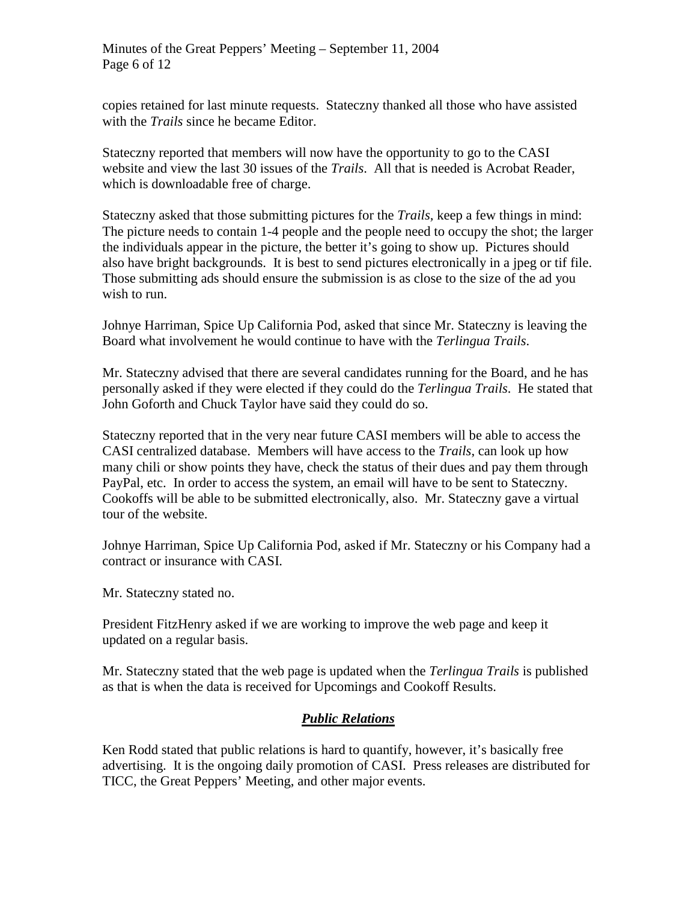copies retained for last minute requests. Stateczny thanked all those who have assisted with the *Trails* since he became Editor.

Stateczny reported that members will now have the opportunity to go to the CASI website and view the last 30 issues of the *Trails*. All that is needed is Acrobat Reader, which is downloadable free of charge.

Stateczny asked that those submitting pictures for the *Trails,* keep a few things in mind: The picture needs to contain 1-4 people and the people need to occupy the shot; the larger the individuals appear in the picture, the better it's going to show up. Pictures should also have bright backgrounds. It is best to send pictures electronically in a jpeg or tif file. Those submitting ads should ensure the submission is as close to the size of the ad you wish to run.

Johnye Harriman, Spice Up California Pod, asked that since Mr. Stateczny is leaving the Board what involvement he would continue to have with the *Terlingua Trails*.

Mr. Stateczny advised that there are several candidates running for the Board, and he has personally asked if they were elected if they could do the *Terlingua Trails*. He stated that John Goforth and Chuck Taylor have said they could do so.

Stateczny reported that in the very near future CASI members will be able to access the CASI centralized database. Members will have access to the *Trails*, can look up how many chili or show points they have, check the status of their dues and pay them through PayPal, etc. In order to access the system, an email will have to be sent to Stateczny. Cookoffs will be able to be submitted electronically, also. Mr. Stateczny gave a virtual tour of the website.

Johnye Harriman, Spice Up California Pod, asked if Mr. Stateczny or his Company had a contract or insurance with CASI.

Mr. Stateczny stated no.

President FitzHenry asked if we are working to improve the web page and keep it updated on a regular basis.

Mr. Stateczny stated that the web page is updated when the *Terlingua Trails* is published as that is when the data is received for Upcomings and Cookoff Results.

# *Public Relations*

Ken Rodd stated that public relations is hard to quantify, however, it's basically free advertising. It is the ongoing daily promotion of CASI. Press releases are distributed for TICC, the Great Peppers' Meeting, and other major events.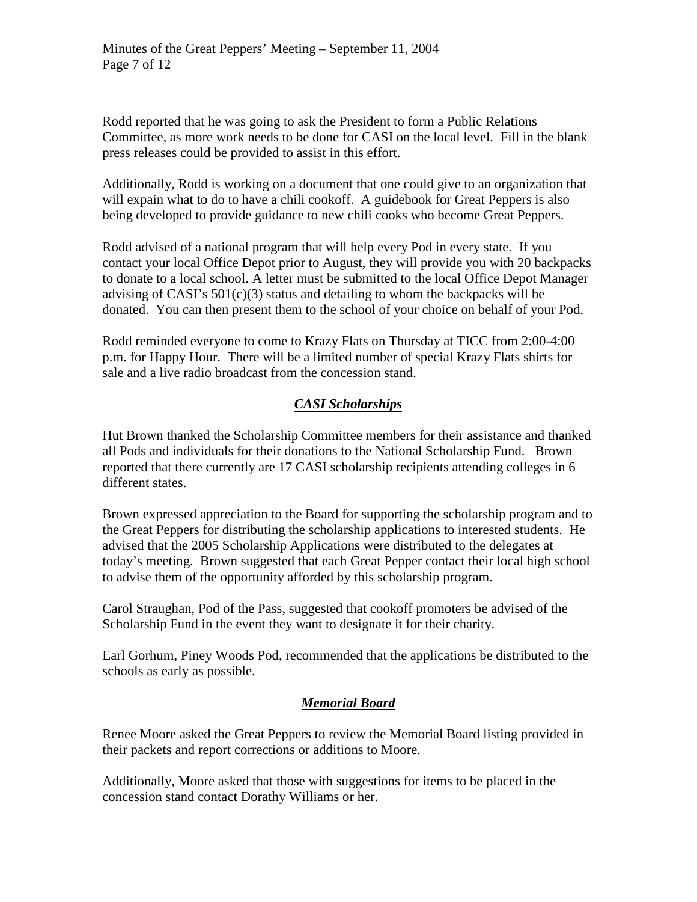Rodd reported that he was going to ask the President to form a Public Relations Committee, as more work needs to be done for CASI on the local level. Fill in the blank press releases could be provided to assist in this effort.

Additionally, Rodd is working on a document that one could give to an organization that will expain what to do to have a chili cookoff. A guidebook for Great Peppers is also being developed to provide guidance to new chili cooks who become Great Peppers.

Rodd advised of a national program that will help every Pod in every state. If you contact your local Office Depot prior to August, they will provide you with 20 backpacks to donate to a local school. A letter must be submitted to the local Office Depot Manager advising of CASI's  $501(c)(3)$  status and detailing to whom the backpacks will be donated. You can then present them to the school of your choice on behalf of your Pod.

Rodd reminded everyone to come to Krazy Flats on Thursday at TICC from 2:00-4:00 p.m. for Happy Hour. There will be a limited number of special Krazy Flats shirts for sale and a live radio broadcast from the concession stand.

# *CASI Scholarships*

Hut Brown thanked the Scholarship Committee members for their assistance and thanked all Pods and individuals for their donations to the National Scholarship Fund. Brown reported that there currently are 17 CASI scholarship recipients attending colleges in 6 different states.

Brown expressed appreciation to the Board for supporting the scholarship program and to the Great Peppers for distributing the scholarship applications to interested students. He advised that the 2005 Scholarship Applications were distributed to the delegates at today's meeting. Brown suggested that each Great Pepper contact their local high school to advise them of the opportunity afforded by this scholarship program.

Carol Straughan, Pod of the Pass, suggested that cookoff promoters be advised of the Scholarship Fund in the event they want to designate it for their charity.

Earl Gorhum, Piney Woods Pod, recommended that the applications be distributed to the schools as early as possible.

# *Memorial Board*

Renee Moore asked the Great Peppers to review the Memorial Board listing provided in their packets and report corrections or additions to Moore.

Additionally, Moore asked that those with suggestions for items to be placed in the concession stand contact Dorathy Williams or her.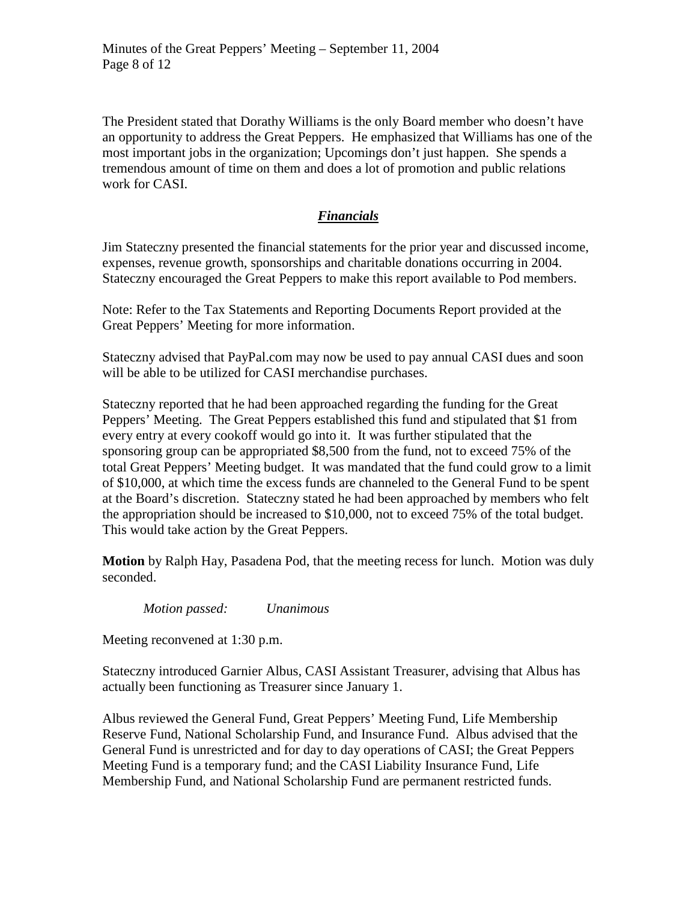The President stated that Dorathy Williams is the only Board member who doesn't have an opportunity to address the Great Peppers. He emphasized that Williams has one of the most important jobs in the organization; Upcomings don't just happen. She spends a tremendous amount of time on them and does a lot of promotion and public relations work for CASI.

### *Financials*

Jim Stateczny presented the financial statements for the prior year and discussed income, expenses, revenue growth, sponsorships and charitable donations occurring in 2004. Stateczny encouraged the Great Peppers to make this report available to Pod members.

Note: Refer to the Tax Statements and Reporting Documents Report provided at the Great Peppers' Meeting for more information.

Stateczny advised that PayPal.com may now be used to pay annual CASI dues and soon will be able to be utilized for CASI merchandise purchases.

Stateczny reported that he had been approached regarding the funding for the Great Peppers' Meeting. The Great Peppers established this fund and stipulated that \$1 from every entry at every cookoff would go into it. It was further stipulated that the sponsoring group can be appropriated \$8,500 from the fund, not to exceed 75% of the total Great Peppers' Meeting budget. It was mandated that the fund could grow to a limit of \$10,000, at which time the excess funds are channeled to the General Fund to be spent at the Board's discretion. Stateczny stated he had been approached by members who felt the appropriation should be increased to \$10,000, not to exceed 75% of the total budget. This would take action by the Great Peppers.

**Motion** by Ralph Hay, Pasadena Pod, that the meeting recess for lunch. Motion was duly seconded.

*Motion passed: Unanimous*

Meeting reconvened at 1:30 p.m.

Stateczny introduced Garnier Albus, CASI Assistant Treasurer, advising that Albus has actually been functioning as Treasurer since January 1.

Albus reviewed the General Fund, Great Peppers' Meeting Fund, Life Membership Reserve Fund, National Scholarship Fund, and Insurance Fund. Albus advised that the General Fund is unrestricted and for day to day operations of CASI; the Great Peppers Meeting Fund is a temporary fund; and the CASI Liability Insurance Fund, Life Membership Fund, and National Scholarship Fund are permanent restricted funds.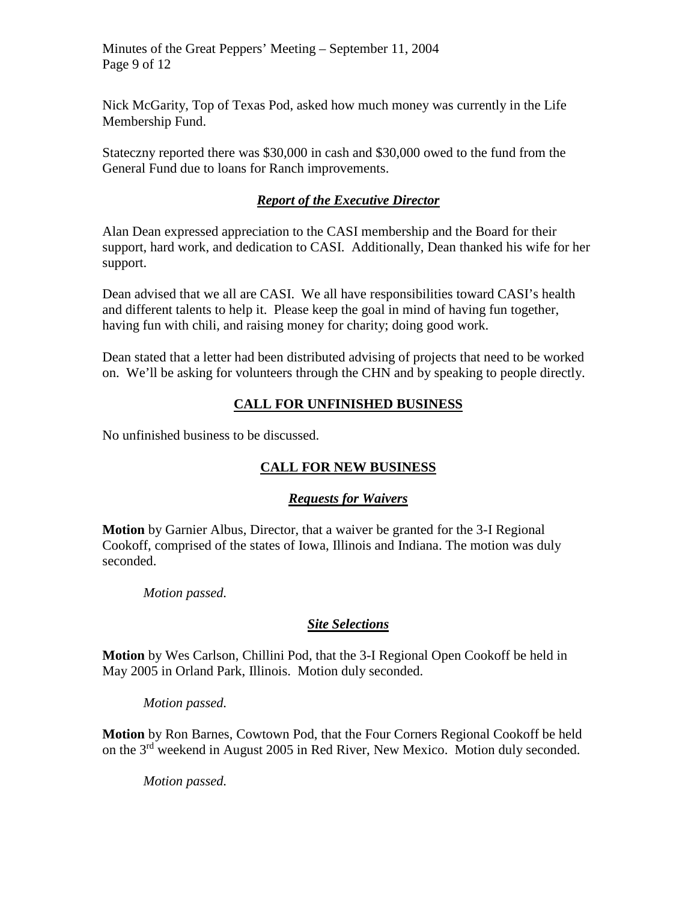Minutes of the Great Peppers' Meeting – September 11, 2004 Page 9 of 12

Nick McGarity, Top of Texas Pod, asked how much money was currently in the Life Membership Fund.

Stateczny reported there was \$30,000 in cash and \$30,000 owed to the fund from the General Fund due to loans for Ranch improvements.

## *Report of the Executive Director*

Alan Dean expressed appreciation to the CASI membership and the Board for their support, hard work, and dedication to CASI. Additionally, Dean thanked his wife for her support.

Dean advised that we all are CASI. We all have responsibilities toward CASI's health and different talents to help it. Please keep the goal in mind of having fun together, having fun with chili, and raising money for charity; doing good work.

Dean stated that a letter had been distributed advising of projects that need to be worked on. We'll be asking for volunteers through the CHN and by speaking to people directly.

# **CALL FOR UNFINISHED BUSINESS**

No unfinished business to be discussed.

# **CALL FOR NEW BUSINESS**

### *Requests for Waivers*

**Motion** by Garnier Albus, Director, that a waiver be granted for the 3-I Regional Cookoff, comprised of the states of Iowa, Illinois and Indiana. The motion was duly seconded.

*Motion passed.*

### *Site Selections*

**Motion** by Wes Carlson, Chillini Pod, that the 3-I Regional Open Cookoff be held in May 2005 in Orland Park, Illinois. Motion duly seconded.

*Motion passed.*

**Motion** by Ron Barnes, Cowtown Pod, that the Four Corners Regional Cookoff be held on the 3rd weekend in August 2005 in Red River, New Mexico. Motion duly seconded.

*Motion passed.*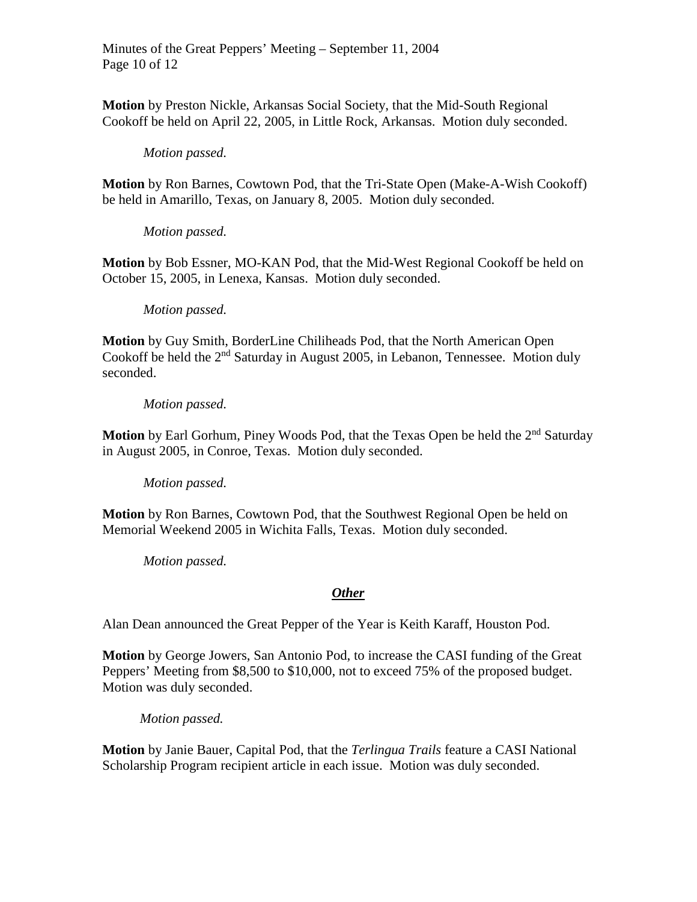Minutes of the Great Peppers' Meeting – September 11, 2004 Page 10 of 12

**Motion** by Preston Nickle, Arkansas Social Society, that the Mid-South Regional Cookoff be held on April 22, 2005, in Little Rock, Arkansas. Motion duly seconded.

#### *Motion passed.*

**Motion** by Ron Barnes, Cowtown Pod, that the Tri-State Open (Make-A-Wish Cookoff) be held in Amarillo, Texas, on January 8, 2005. Motion duly seconded.

*Motion passed.*

**Motion** by Bob Essner, MO-KAN Pod, that the Mid-West Regional Cookoff be held on October 15, 2005, in Lenexa, Kansas. Motion duly seconded.

#### *Motion passed.*

**Motion** by Guy Smith, BorderLine Chiliheads Pod, that the North American Open Cookoff be held the 2<sup>nd</sup> Saturday in August 2005, in Lebanon, Tennessee. Motion duly seconded.

#### *Motion passed.*

**Motion** by Earl Gorhum, Piney Woods Pod, that the Texas Open be held the 2<sup>nd</sup> Saturday in August 2005, in Conroe, Texas. Motion duly seconded.

*Motion passed.*

**Motion** by Ron Barnes, Cowtown Pod, that the Southwest Regional Open be held on Memorial Weekend 2005 in Wichita Falls, Texas. Motion duly seconded.

*Motion passed.*

### *Other*

Alan Dean announced the Great Pepper of the Year is Keith Karaff, Houston Pod.

**Motion** by George Jowers, San Antonio Pod, to increase the CASI funding of the Great Peppers' Meeting from \$8,500 to \$10,000, not to exceed 75% of the proposed budget. Motion was duly seconded.

*Motion passed.*

**Motion** by Janie Bauer, Capital Pod, that the *Terlingua Trails* feature a CASI National Scholarship Program recipient article in each issue. Motion was duly seconded.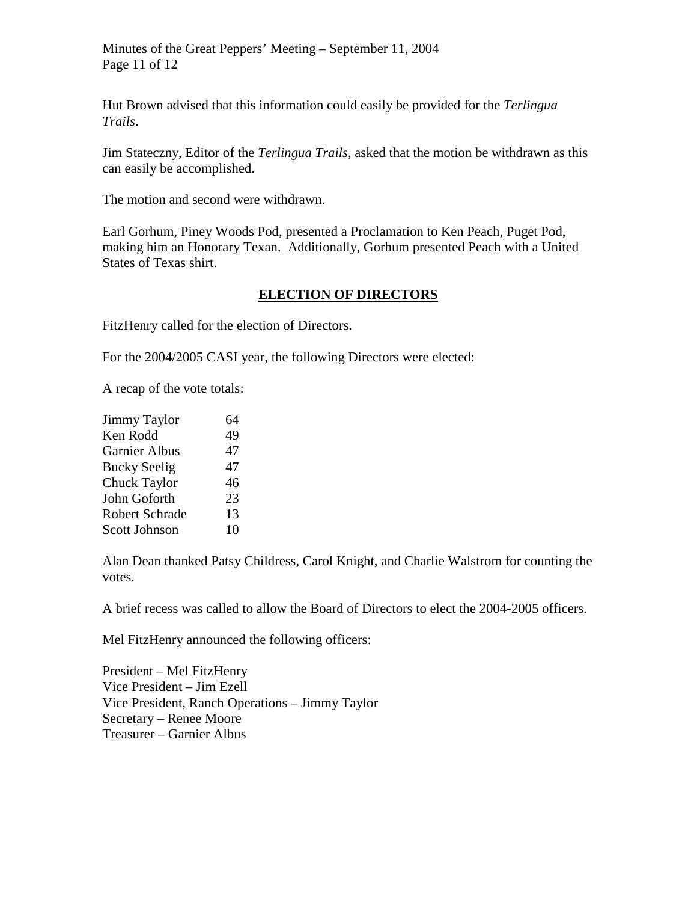Minutes of the Great Peppers' Meeting – September 11, 2004 Page 11 of 12

Hut Brown advised that this information could easily be provided for the *Terlingua Trails*.

Jim Stateczny, Editor of the *Terlingua Trails*, asked that the motion be withdrawn as this can easily be accomplished.

The motion and second were withdrawn.

Earl Gorhum, Piney Woods Pod, presented a Proclamation to Ken Peach, Puget Pod, making him an Honorary Texan. Additionally, Gorhum presented Peach with a United States of Texas shirt.

### **ELECTION OF DIRECTORS**

FitzHenry called for the election of Directors.

For the 2004/2005 CASI year, the following Directors were elected:

A recap of the vote totals:

| <b>Jimmy Taylor</b>   | 64 |
|-----------------------|----|
| Ken Rodd              | 49 |
| <b>Garnier Albus</b>  | 47 |
| <b>Bucky Seelig</b>   | 47 |
| <b>Chuck Taylor</b>   | 46 |
| John Goforth          | 23 |
| <b>Robert Schrade</b> | 13 |
| <b>Scott Johnson</b>  | 10 |

Alan Dean thanked Patsy Childress, Carol Knight, and Charlie Walstrom for counting the votes.

A brief recess was called to allow the Board of Directors to elect the 2004-2005 officers.

Mel FitzHenry announced the following officers:

President – Mel FitzHenry Vice President – Jim Ezell Vice President, Ranch Operations – Jimmy Taylor Secretary – Renee Moore Treasurer – Garnier Albus